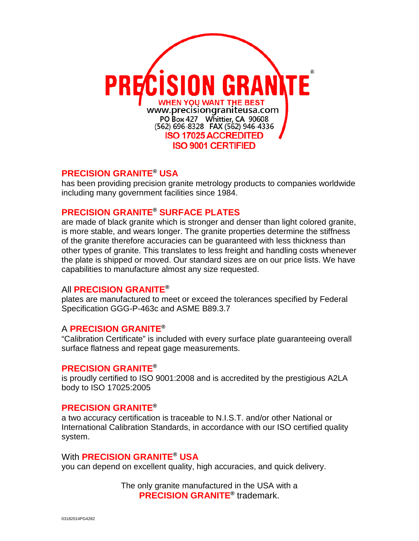

# **PRECISION GRANITE® USA**

has been providing precision granite metrology products to companies worldwide including many government facilities since 1984.

## **PRECISION GRANITE® SURFACE PLATES**

are made of black granite which is stronger and denser than light colored granite, is more stable, and wears longer. The [granite properties](http://www.precisiongraniteusa.com/pdffiles/4921.pdf) determine the stiffness of the granite therefore accuracies can be guaranteed with less thickness than other types of granite. This translates to less freight and handling costs whenever the plate is shipped or moved. Our standard sizes are on our [price lists.](http://www.precisiongraniteusa.com/pdffiles/PG%20SURFACE%20PLATES,%20STANDS,%20COVERS%20&%20CLEANER%20PRICE%20LIST.pdf) We have capabilities to manufacture almost any size requested.

## All **PRECISION GRANITE®**

plates are manufactured to meet or exceed the tolerances specified by [Federal](http://www.precisiongraniteusa.com/pdffiles/fed_spec.pdf)  [Specification GGG-P-463c](http://www.precisiongraniteusa.com/pdffiles/fed_spec.pdf) and ASME B89.3.7

## A **PRECISION GRANITE®**

"Calibration Certificate" is included with every surface plate guaranteeing overall surface flatness and repeat gage measurements.

## **PRECISION GRANITE®**

is proudly certified to ISO 9001:2008 and is accredited by the prestigious A2LA body to ISO 17025:2005

## **PRECISION GRANITE®**

a two accuracy certification is traceable to N.I.S.T. and/or other National or International Calibration Standards, in accordance with our ISO certified quality system.

## With **PRECISION GRANITE® USA**

you can depend on excellent quality, high accuracies, and quick delivery.

The only granite manufactured in the USA with a **PRECISION GRANITE®** trademark.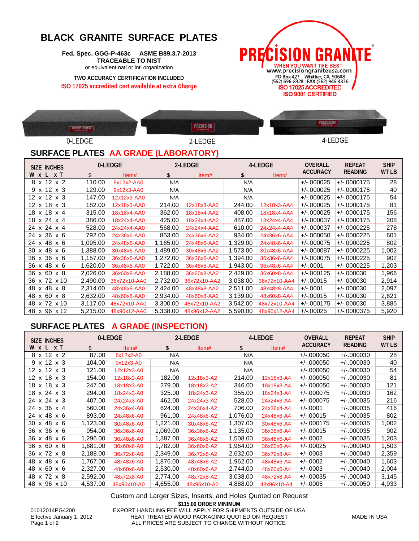# **BLACK GRANITE SURFACE PLATES**

**Fed. Spec. GGG-P-463c ASME B89.3.7-2013 TRACEABLE TO NIST** or equivalent natl or intl organization

**TWO ACCURACY CERTIFICATION INCLUDED ISO 17025 accredited cert available at extra charge**





## **SURFACE PLATES AA GRADE (LABORATORY)**

| SIZE INCHES                   |          | 0-LEDGE      |          | 2-LEDGE      |          | 4-LEDGE      |                 | <b>REPEAT</b>  | <b>SHIP</b>  |
|-------------------------------|----------|--------------|----------|--------------|----------|--------------|-----------------|----------------|--------------|
| W x L x T                     | \$       | Item#        | \$       | Item#        | \$       | Item#        | <b>ACCURACY</b> | <b>READING</b> | <b>WT LB</b> |
| 8 x 12 x 2                    | 110.00   | 8x12x2-AA0   | N/A      |              | N/A      |              | $+/-.000025$    | $+/-0000175$   | 28           |
| $9 \times 12 \times 3$        | 129.00   | 9x12x3-AA0   | N/A      |              | N/A      |              | $+/-000025$     | $+/-0000175$   | 40           |
| $12 \times 12 \times 3$       | 147.00   | 12x12x3-AA0  | N/A      |              | N/A      |              | $+/-000025$     | $+/-0000175$   | 54           |
| $12 \times 18 \times 3$       | 182.00   | 12x18x3-AA0  | 214.00   | 12x18x3-AA2  | 244.00   | 12x18x3-AA4  | $+/-000025$     | $+/-0000175$   | 81           |
| 18 x 18<br>$x \, 4$           | 315.00   | 18x18x4-AA0  | 362.00   | 18x18x4-AA2  | 408.00   | 18x18x4-AA4  | $+/-000025$     | $+/-0000175$   | 156          |
| 18 x 24 x 4                   | 386.00   | 18x24x4-AA0  | 425.00   | 18x24x4-AA2  | 487.00   | 18x24x4-AA4  | $+/-.000037$    | $+/-0000175$   | 208          |
| 24 x 24 x 4                   | 528.00   | 24x24x4-AA0  | 568.00   | 24x24x4-AA2  | 610.00   | 24x24x4-AA4  | $+/-.000037$    | $+/-0000225$   | 278          |
| 24 x 36 x 6                   | 792.00   | 24x36x6-AA0  | 853.00   | 24x36x6-AA2  | 934.00   | 24x36x6-AA4  | $+/-.000050$    | $+/-0000225$   | 601          |
| 24 x 48 x 6                   | 1,095.00 | 24x48x6-AA0  | 1,165.00 | 24x48x6-AA2  | 1,329.00 | 24x48x6-AA4  | $+/-000075$     | $+/-0000225$   | 802          |
| 30 x 48<br>x 6                | 1,388.00 | 30x48x6-AA0  | 1,489.00 | 30x48x6-AA2  | 1,573.00 | 30x48x6-AA4  | $+/-000087$     | $+/-0000225$   | 1,002        |
| 36 x 36 x 6                   | 1,157.00 | 36x36x6-AA0  | 1,272.00 | 36x36x6-AA2  | 1,394.00 | 36x36x6-AA4  | $+/-000075$     | $+/-0000225$   | 902          |
| x 48<br>36<br>x <sub>6</sub>  | 1,620.00 | 36x48x6-AA0  | 1,722.00 | 36x48x6-AA2  | 1,943.00 | 36x48x6-AA4  | $+/-.0001$      | $+/-0000225$   | 1,203        |
| 36<br>x 60 x 8                | 2,026.00 | 36x60x8-AA0  | 2,188.00 | 36x60x8-AA2  | 2,429.00 | 36x60x8-AA4  | $+/-000125$     | $+/-000030$    | 1,966        |
| x 72 x 10<br>36               | 2,490.00 | 36x72x10-AA0 | 2,732.00 | 36x72x10-AA2 | 3.038.00 | 36x72x10-AA4 | $+/-00015$      | $+/-000030$    | 2,914        |
| x 48 x 8<br>48                | 2,314.00 | 48x48x8-AA0  | 2,424.00 | 48x48x8-AA2  | 2,511.00 | 48x48x8-AA4  | $+/-.0001$      | $+/-000030$    | 2,097        |
| x 60 x 8<br>48                | 2,632.00 | 48x60x8-AA0  | 2,934.00 | 48x60x8-AA2  | 3,139.00 | 48x60x8-AA4  | $+/-.00015$     | $+/-000030$    | 2,621        |
| x 72<br>48<br>x 10            | 3,117.00 | 48x72x10-AA0 | 3,300.00 | 48x72x10-AA2 | 3,542.00 | 48x72x10-AA4 | $+/-000175$     | $+/-000030$    | 3,885        |
| 96 x 12<br>48<br>$\mathsf{x}$ | 5,215.00 | 48x96x12-AA0 | 5,338.00 | 48x96x12-AA2 | 5,590.00 | 48x96x12-AA4 | $+/-00025$      | $+/-0000375$   | 5,920        |

## **SURFACE PLATES A GRADE (INSPECTION)**

| <b>SIZE INCHES</b>      |          | 0-LEDGE     |          | 2-LEDGE     |          | 4-LEDGE     |                 | <b>REPEAT</b>  | <b>SHIP</b>  |
|-------------------------|----------|-------------|----------|-------------|----------|-------------|-----------------|----------------|--------------|
| <b>W x L x T</b>        | \$       | Item#       | \$       | Item#       | \$       | Item#       | <b>ACCURACY</b> | <b>READING</b> | <b>WT LB</b> |
| 8 x 12 x 2              | 87.00    | 8x12x2-A0   | N/A      |             | N/A      |             | $+/-000050$     | $+/-000030$    | 28           |
| $9 \times 12 \times 3$  | 104.00   | 9x12x3-A0   | N/A      |             | N/A      |             | $+/-000050$     | $+/-000030$    | 40           |
| $12 \times 12 \times 3$ | 121.00   | 12x12x3-A0  | N/A      |             | N/A      |             | $+/-000050$     | $+/-000030$    | 54           |
| $12 \times 18 \times 3$ | 154.00   | 12x18x3-A0  | 182.00   | 12x18x3-A2  | 214.00   | 12x18x3-A4  | $+/-000050$     | $+/-000030$    | 81           |
| 18 x 18 x 3             | 247.00   | 18x18x3-A0  | 279.00   | 18x18x3-A2  | 346.00   | 18x18x3-A4  | $+/-000050$     | $+/-000030$    | 121          |
| 18 x 24 x 3             | 294.00   | 18x24x3-A0  | 325.00   | 18x24x3-A2  | 355.00   | 18x24x3-A4  | $+/-000075$     | $+/-000030$    | 162          |
| 24 x 24 x 3             | 407.00   | 24x24x3-A0  | 462.00   | 24x24x3-A2  | 528.00   | 24x24x3-A4  | $+/-000075$     | $+/-000035$    | 216          |
| 24 x 36 x 4             | 560.00   | 24x36x4-A0  | 624.00   | 24x36x4-A2  | 706.00   | 24x36x4-A4  | $+/-.0001$      | $+/-000035$    | 416          |
| 24 x 48 x 6             | 893.00   | 24x48x6-A0  | 961.00   | 24x48x6-A2  | 1,076.00 | 24x48x6-A4  | $+/-00015$      | $+/-000035$    | 802          |
| 30 x 48 x 6             | 1,123.00 | 30x48x6-A0  | 1,221.00 | 30x48x6-A2  | 1,307.00 | 30x48x6-A4  | $+/-000175$     | $+/-000035$    | 1,002        |
| 36 x 36 x 6             | 954.00   | 36x36x6-A0  | 1,069.00 | 36x36x6-A2  | 1,135.00 | 36x36x6-A4  | $+/-00015$      | $+/-000035$    | 902          |
| 36 x 48 x 6             | 1,296.00 | 36x48x6-A0  | 1,387.00 | 36x48x6-A2  | 1,508.00 | 36x48x6-A4  | $+/-.0002$      | $+/-000035$    | 1,203        |
| 36 x 60 x 6             | 1,681.00 | 36x60x6-A0  | 1,782.00 | 36x60x6-A2  | 1,964.00 | 36x60x6-A4  | $+/-00025$      | $+/-000040$    | 1,503        |
| 36 x 72 x 8             | 2,188.00 | 36x72x8-A0  | 2,349.00 | 36x72x8-A2  | 2,632.00 | 36x72x8-A4  | $+/-0003$       | $+/-000040$    | 2,359        |
| 48 x 48 x 6             | 1,767.00 | 48x48x6-A0  | 1,876.00 | 48x48x6-A2  | 1,962.00 | 48x48x6-A4  | $+/-.0002$      | $+/-000040$    | 1,603        |
| 48 x 60<br>x 6          | 2,327.00 | 48x60x6-A0  | 2,530.00 | 48x60x6-A2  | 2,744.00 | 48x60x6-A4  | $+/-0003$       | $+/-000040$    | 2,004        |
| 48 x 72 x 8             | 2,592.00 | 48x72x8-A0  | 2,774.00 | 48x72x8-A2  | 3,038.00 | 48x72x8-A4  | $+/-00035$      | $+/-000040$    | 3,145        |
| 48 x 96 x 10            | 4.537.00 | 48x96x10-A0 | 4,655.00 | 48x96x10-A2 | 4.888.00 | 48x96x10-A4 | $+/-0005$       | $+/-000050$    | 4,933        |

**\$115.00 ORDER MINIMUM** 01012014PG4200 EXPORT HANDLING FEE WILL APPLY FOR SHIPMENTS OUTSIDE OF USA<br>Effective January 1, 2012 HEAT TREATED WOOD PACKAGING QUOTED ON REQUEST Effective January 1, 2012 <br>
HEAT TREATED WOOD PACKAGING QUOTED ON REQUEST MADE IN USA<br>
Page 1 of 2 
ALL PRICES ARE SUBJECT TO CHANGE WITHOUT NOTICE ALL PRICES ARE SUBJECT TO CHANGE WITHOUT NOTICE Custom and Larger Sizes, Inserts, and Holes Quoted on Request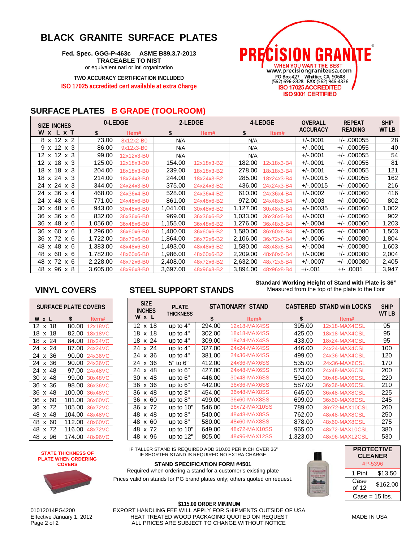# **BLACK GRANITE SURFACE PLATES**

**Fed. Spec. GGG-P-463c ASME B89.3.7-2013 TRACEABLE TO NIST** or equivalent natl or intl organization

**TWO ACCURACY CERTIFICATION INCLUDED ISO 17025 accredited cert available at extra charge**



## **SURFACE PLATES B GRADE (TOOLROOM)**

| SIZE INCHES            |          | 0-LEDGE    |          | 2-LEDGE    | 4-LEDGE  |            | <b>OVERALL</b>  | <b>REPEAT</b>  | <b>SHIP</b> |
|------------------------|----------|------------|----------|------------|----------|------------|-----------------|----------------|-------------|
| <b>W</b> x L x T       | \$       | Item#      | \$       | Item#      | \$       | Item#      | <b>ACCURACY</b> | <b>READING</b> | WT LB       |
| 8 x 12 x 2             | 73.00    | 8x12x2-B0  | N/A      |            | N/A      |            | $+/-.0001$      | $+/- .000055$  | 28          |
| $9 \times 12 \times 3$ | 86.00    | 9x12x3-B0  | N/A      |            | N/A      |            | $+/-.0001$      | $+/- .000055$  | 40          |
| 12 x 12 x 3            | 99.00    | 12x12x3-B0 | N/A      |            | N/A      |            | $+/-.0001$      | $+/- .000055$  | 54          |
| 12 x 18 x 3            | 125.00   | 12x18x3-B0 | 154.00   | 12x18x3-B2 | 182.00   | 12x18x3-B4 | $+/-.0001$      | $+/-$ .000055  | 81          |
| 18 x 18 x 3            | 204.00   | 18x18x3-B0 | 239.00   | 18x18x3-B2 | 278.00   | 18x18x3-B4 | $+/-.0001$      | $+/-$ .000055  | 121         |
| 18 x 24 x 3            | 214.00   | 18x24x3-B0 | 244.00   | 18x24x3-B2 | 285.00   | 18x24x3-B4 | $+/-00015$      | $+/-$ .000055  | 162         |
| 24 x 24 x 3            | 344.00   | 24x24x3-B0 | 375.00   | 24x24x3-B2 | 436.00   | 24x24x3-B4 | $+/-.00015$     | $+/-$ .000060  | 216         |
| 24 x 36 x 4            | 468.00   | 24x36x4-B0 | 528.00   | 24x36x4-B2 | 610.00   | 24x36x4-B4 | $+/-.0002$      | $+/-$ .000060  | 416         |
| 24 x 48 x 6            | 771.00   | 24x48x6-B0 | 861.00   | 24x48x6-B2 | 972.00   | 24x48x6-B4 | $+/-.0003$      | $+/-$ .000060  | 802         |
| 30 x 48 x 6            | 943.00   | 30x48x6-B0 | 1,041.00 | 30x48x6-B2 | 1,127.00 | 30x48x6-B4 | $+/-.00035$     | $+/-$ .000060  | 1,002       |
| 36 x 36 x 6            | 832.00   | 36x36x6-B0 | 969.00   | 36x36x6-B2 | 1,033.00 | 36x36x6-B4 | $+/-0003$       | $+/-$ .000060  | 902         |
| 36 x 48 x 6            | 1,056.00 | 36x48x6-B0 | 1,155.00 | 36x48x6-B2 | 1,276.00 | 36x48x6-B4 | $+/-.0004$      | $+/-$ .000060  | 1,203       |
| 36 x 60 x 6            | 1,296.00 | 36x60x6-B0 | 1,400.00 | 36x60x6-B2 | 1,580.00 | 36x60x6-B4 | $+/-.0005$      | $+/- .000080$  | 1,503       |
| 36 x 72 x 6            | 1,722.00 | 36x72x6-B0 | 1,864.00 | 36x72x6-B2 | 2,106.00 | 36x72x6-B4 | $+/-.0006$      | $+/- .000080$  | 1,804       |
| 48 x 48 x 6            | 1,383.00 | 48x48x6-B0 | 1,493.00 | 48x48x6-B2 | 1,580.00 | 48x48x6-B4 | $+/-.0004$      | $+/- .000080$  | 1,603       |
| 48 x 60 x 6            | 1,782.00 | 48x60x6-B0 | 1,986.00 | 48x60x6-B2 | 2,209.00 | 48x60x6-B4 | $+/-0006$       | $+/-$ .000080  | 2,004       |
| 48 x 72 x 6            | 2,228.00 | 48x72x6-B0 | 2,408.00 | 48x72x6-B2 | 2,632.00 | 48x72x6-B4 | $+/-.0007$      | $+/-$ .000080  | 2,405       |
| 48 x 96 x 8            | 3,605.00 | 48x96x8-B0 | 3,697.00 | 48x96x8-B2 | 3.894.00 | 48x96x8-B4 | $+/-.001$       | +/- .0001      | 3,947       |

| SURFACE PLATE COVERS |    |        |         |  |  |  |  |  |
|----------------------|----|--------|---------|--|--|--|--|--|
| W<br>X               |    | \$     | ltem#   |  |  |  |  |  |
| 12<br>x              | 18 | 80.00  | 12x18VC |  |  |  |  |  |
| 18<br>x              | 18 | 82.00  | 18x18VC |  |  |  |  |  |
| 18<br>X              | 24 | 84.00  | 18x24VC |  |  |  |  |  |
| 24<br>x              | 24 | 87.00  | 24x24VC |  |  |  |  |  |
| 24<br>x              | 36 | 90.00  | 24x36VC |  |  |  |  |  |
| 24<br>x              | 36 | 90.00  | 24x36VC |  |  |  |  |  |
| 24<br>x              | 48 | 97.00  | 24x48VC |  |  |  |  |  |
| 30<br>x              | 48 | 99.00  | 30x48VC |  |  |  |  |  |
| 36<br>x              | 36 | 98.00  | 36x36VC |  |  |  |  |  |
| 36<br>x              | 48 | 100.00 | 36x48VC |  |  |  |  |  |
| 36<br>x              | 60 | 101.00 | 36x60VC |  |  |  |  |  |
| 36<br>x              | 72 | 105.00 | 36x72VC |  |  |  |  |  |
| 48<br>x              | 48 | 104.00 | 48x48VC |  |  |  |  |  |
| 48<br>x              | 60 | 112.00 | 48x60VC |  |  |  |  |  |
| 48<br>x              | 72 | 116.00 | 48x72VC |  |  |  |  |  |
| 48<br>x              | 96 | 174.00 | 48x96VC |  |  |  |  |  |

## **VINYL COVERS STEEL SUPPORT STANDS**

#### **Standard Working Height of Stand with Plate is 36"** Measured from the top of the plate to the floor

| <b>SIZE</b><br><b>INCHES</b> | <b>PLATE</b><br><b>THICKNESS</b> |        | STATIONARY STAND |          | <b>CASTERED STAND with LOCKS</b> |       |  |
|------------------------------|----------------------------------|--------|------------------|----------|----------------------------------|-------|--|
| W x L                        |                                  | \$     | Item#            | \$       | Item#                            | WT LB |  |
| $12 \times 18$               | up to 4"                         | 294.00 | 12x18-MAX4SS     | 395.00   | 12x18-MAX4CSL                    | 95    |  |
| 18 x 18                      | up to 4"                         | 302.00 | 18x18-MAX4SS     | 425.00   | 18x18-MAX4CSL                    | 95    |  |
| 18 x 24                      | up to 4"                         | 309.00 | 18x24-MAX4SS     | 433.00   | 18x24-MAX4CSL                    | 95    |  |
| 24 x 24                      | up to 4"                         | 327.00 | 24x24-MAX4SS     | 446.00   | 24x24-MAX4CSL                    | 100   |  |
| 24 x 36                      | up to 4"                         | 381.00 | 24x36-MAX4SS     | 499.00   | 24x36-MAX4CSL                    | 120   |  |
| 24 x 36                      | 5" to 6"                         | 412.00 | 24x36-MAX6SS     | 535.00   | 24x36-MAX6CSL                    | 170   |  |
| 24 x 48                      | up to 6"                         | 427.00 | 24x48-MAX6SS     | 573.00   | 24x48-MAX6CSL                    | 200   |  |
| 30 x 48                      | up to 6"                         | 446.00 | 30x48-MAX6SS     | 594.00   | 30x48-MAX6CSL                    | 220   |  |
| 36 x 36                      | up to $6"$                       | 442.00 | 36x36-MAX6SS     | 587.00   | 36x36-MAX6CSL                    | 210   |  |
| 36 x 48                      | up to $8"$                       | 454.00 | 36x48-MAX8SS     | 645.00   | 36x48-MAX8CSL                    | 225   |  |
| 36 x 60                      | up to 8"                         | 499.00 | 36x60-MAX8SS     | 699.00   | 36x60-MAX8CSL                    | 245   |  |
| 36 x 72                      | up to 10"                        | 546.00 | 36x72-MAX10SS    | 789.00   | 36x72-MAX10CSL                   | 260   |  |
| 48 x 48                      | up to 8"                         | 540.00 | 48x48-MAX8SS     | 762.00   | 48x48-MAX8CSL                    | 250   |  |
| x 60<br>48                   | up to 8"                         | 580.00 | 48x60-MAX8SS     | 878.00   | 48x60-MAX8CSL                    | 275   |  |
| x 72<br>48                   | up to 10"                        | 649.00 | 48x72-MAX10SS    | 965.00   | 48x72-MAX10CSL                   | 380   |  |
| x 96<br>48                   | up to 12"                        | 805.00 | 48x96-MAX12SS    | 1,323.00 | 48x96-MAX12CSL                   | 530   |  |

IF TALLER STAND IS REQUIRED ADD \$10.00 PER INCH OVER 36" IF SHORTER STAND IS REQUIRED NO EXTRA CHARGE

**STAND SPECIFICATION FORM #4501**

Required when ordering a stand for a customer's existing plate Prices valid on stands for PG brand plates only; others quoted on request.



| <b>PROTECTIVE</b><br><b>CLEANER</b><br>#P-5396 |          |  |  |  |  |
|------------------------------------------------|----------|--|--|--|--|
| 1 Pint                                         | \$13.50  |  |  |  |  |
| Case<br>of 12                                  | \$162.00 |  |  |  |  |
| Case = 15 lbs.                                 |          |  |  |  |  |

**STATE THICKNESS OF PLATE WHEN ORDERING COVERS**

**\$115.00 ORDER MINIMUM** 01012014PG4200 EXPORT HANDLING FEE WILL APPLY FOR SHIPMENTS OUTSIDE OF USA<br>Effective January 1, 2012 HEAT TREATED WOOD PACKAGING QUOTED ON REQUEST Effective January 1, 2012 HEAT TREATED WOOD PACKAGING QUOTED ON REQUEST MADE IN USA ALL PRICES ARE SUBJECT TO CHANGE WITHOUT NOTICE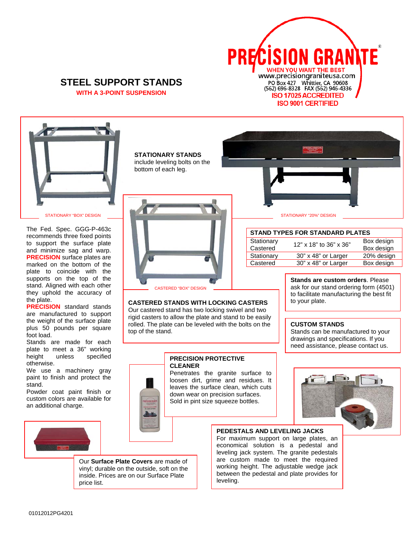

#### **STEEL SUPPORT STANDS WITH A 3-POINT SUSPENSION**



The Fed. Spec. GGG-P-463c recommends three fixed points to support the surface plate and minimize sag and warp. **PRECISION** surface plates are marked on the bottom of the plate to coincide with the supports on the top of the stand. Aligned with each other they uphold the accuracy of the plate.

**PRECISION** standard stands are manufactured to support the weight of the surface plate plus 50 pounds per square foot load.

Stands are made for each plate to meet a 36" working height unless specified otherwise.

We use a machinery gray paint to finish and protect the stand.

Powder coat paint finish or custom colors are available for an additional charge.



**STATIONARY STANDS** include leveling bolts on the bottom of each leg.



#### **CASTERED STANDS WITH LOCKING CASTERS**

Our castered stand has two locking swivel and two rigid casters to allow the plate and stand to be easily rolled. The plate can be leveled with the bolts on the top of the stand.

#### **PRECISION PROTECTIVE CLEANER**

Penetrates the granite surface to loosen dirt, grime and residues. It leaves the surface clean, which cuts down wear on precision surfaces. Sold in pint size squeeze bottles.



Our **Surface Plate Covers** are made of vinyl; durable on the outside, soft on the inside. Prices are on our Surface Plate price list.

#### **PEDESTALS AND LEVELING JACKS**

For maximum support on large plates, an economical solution is a pedestal and leveling jack system. The granite pedestals are custom made to meet the required working height. The adjustable wedge jack between the pedestal and plate provides for leveling.

STATIONARY "BOX" DESIGN STATIONARY "20%" DESIGN

#### **STAND TYPES FOR STANDARD PLATES**

| Stationary<br>Castered | 12" x 18" to 36" x 36" | Box design<br>Box design |
|------------------------|------------------------|--------------------------|
| Stationary             | 30" x 48" or Larger    | 20% design               |
| Castered               | 30" x 48" or Larger    | Box design               |

**Stands are custom orders**. Please ask for our stand ordering form (4501) to facilitate manufacturing the best fit to your plate.

#### **CUSTOM STANDS**

Stands can be manufactured to your drawings and specifications. If you need assistance, please contact us.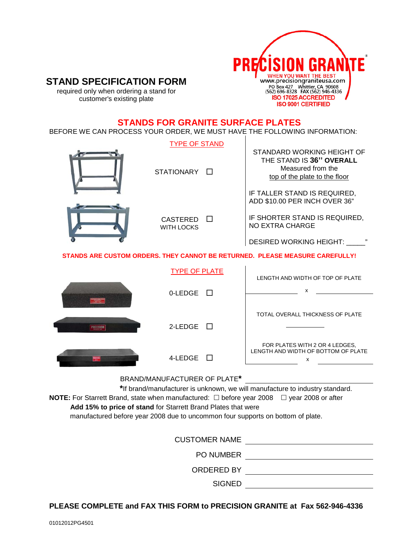

# **STAND SPECIFICATION FORM**

required only when ordering a stand for customer's existing plate

### **STANDS FOR GRANITE SURFACE PLATES**

BEFORE WE CAN PROCESS YOUR ORDER, WE MUST HAVE THE FOLLOWING INFORMATION:

|           | <b>TYPE OF STAND</b><br>STATIONARY <b>N</b>             | STANDARD WORKING HEIGHT OF<br>THE STAND IS 36" OVERALL<br>Measured from the<br>top of the plate to the floor<br>IF TALLER STAND IS REQUIRED, |
|-----------|---------------------------------------------------------|----------------------------------------------------------------------------------------------------------------------------------------------|
|           | <b>CASTERED</b><br><b>WITH LOCKS</b>                    | ADD \$10.00 PER INCH OVER 36"<br>IF SHORTER STAND IS REQUIRED,<br><b>NO EXTRA CHARGE</b><br>DESIRED WORKING HEIGHT: _____"                   |
|           |                                                         | STANDS ARE CUSTOM ORDERS. THEY CANNOT BE RETURNED. PLEASE MEASURE CAREFULLY!                                                                 |
|           | <b>TYPE OF PLATE</b><br>0-LEDGE                         | LENGTH AND WIDTH OF TOP OF PLATE<br>x                                                                                                        |
|           |                                                         | TOTAL OVERALL THICKNESS OF PLATE                                                                                                             |
| PRECISION | 2-LEDGE<br>$\Box$                                       | FOR PLATES WITH 2 OR 4 LEDGES,<br>LENGTH AND WIDTH OF BOTTOM OF PLATE                                                                        |
|           | 4-LEDGE<br>$\mathbf{1}$<br>BRAND/MANUFACTURER OF PLATE* | x                                                                                                                                            |

 **\***If brand/manufacturer is unknown, we will manufacture to industry standard. **NOTE:** For Starrett Brand, state when manufactured: □ before year 2008 □ year 2008 or after  **Add 15% to price of stand** for Starrett Brand Plates that were manufactured before year 2008 due to uncommon four supports on bottom of plate.

| <b>CUSTOMER NAME</b> |
|----------------------|
| <b>PO NUMBER</b>     |
| ORDERED BY           |
| <b>SIGNED</b>        |

#### **PLEASE COMPLETE and FAX THIS FORM to PRECISION GRANITE at Fax 562-946-4336**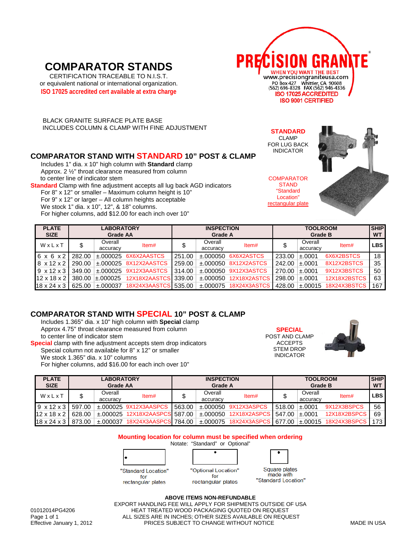# **COMPARATOR STANDS**

CERTIFICATION TRACEABLE TO N.I.S.T. or equivalent national or international organization. **ISO 17025 accredited cert available at extra charge**



CLAMP

**STAND** "Standard Location"

 BLACK GRANITE SURFACE PLATE BASE INCLUDES COLUMN & CLAMP WITH FINE ADJUSTMENT **STANDARD**

#### **COMPARATOR STAND WITH STANDARD 10" POST & CLAMP**

Includes 1" dia. x 10" high column with **Standard** clamp Approx. 2 ½" throat clearance measured from column to center line of indicator stem

**Standard** Clamp with fine adjustment accepts all lug back AGD indicators For 8" x 12" or smaller – Maximum column height is 10" For 9" x 12" or larger – All column heights acceptable We stock 1" dia. x 10", 12", & 18" columns. For higher columns, add \$12.00 for each inch over 10"



| <b>PLATE</b><br><b>SIZE</b> | <b>LABORATORY</b><br><b>Grade AA</b> |                     |                           | <b>INSPECTION</b><br>Grade A |                     |              | <b>TOOLROOM</b><br>Grade B |                     |              | <b>SHIP</b><br><b>WT</b> |
|-----------------------------|--------------------------------------|---------------------|---------------------------|------------------------------|---------------------|--------------|----------------------------|---------------------|--------------|--------------------------|
| WxLxT                       |                                      | Overall<br>accuracy | Item#                     |                              | Overall<br>accuracy | Item#        |                            | Overall<br>accuracy | Item#        | <b>LBS</b>               |
| $6 \times 6 \times 2$       | 282.00                               | $\pm 000025$        | 6X6X2AASTCS               | 251.00                       | +.000050            | 6X6X2ASTCS   | 233.00                     | ±.0001              | 6X6X2BSTCS   | 18                       |
| $8 \times 12 \times 2$      | 290.00                               |                     | $\pm 000025$ 8X12X2AASTCS | 259.00                       | ±.000050            | 8X12X2ASTCS  | 242.00                     | ±.0001              | 8X12X2BSTCS  | 35                       |
| $9 \times 12 \times 3$      | 349.00                               |                     | $\pm 000025$ 9X12X3AASTCS | 314.00                       | $\pm .000050$       | 9X12X3ASTCS  | 270.00                     | ±.0001              | 9X12X3BSTCS  | 50                       |
| $12 \times 18 \times 2$     | 380.00                               | $\pm 000025$        | 12X18X2AASTCS 339.00      |                              | $+.000050$          | 12X18X2ASTCS | 298.00                     | ±.0001              | 12X18X2BSTCS | 63                       |
| $18 \times 24 \times 3$     | 625.00                               | $\pm 000037$        | 18X24X3AASTCS 535.00      |                              | $\pm 000075$        | 18X24X3ASTCS | 428.00                     | ±.00015             | 18X24X3BSTCS | 167                      |

#### **COMPARATOR STAND WITH SPECIAL 10" POST & CLAMP**

Includes 1.365" dia. x 10" high column with **Special** clamp Approx 4.75" throat clearance measured from column to center line of indicator stem **Special** clamp with fine adjustment accepts stem drop indicators

 Special column not available for 8" x 12" or smaller We stock 1.365" dia. x 10" columns For higher columns, add \$16.00 for each inch over 10"

**SPECIAL** POST AND CLAMP ACCEPTS STEM DROP INDICATOR



| <b>PLATE</b><br><b>SIZE</b> | <b>LABORATORY</b><br><b>Grade AA</b> |          | <b>INSPECTION</b><br>Grade A  |        |               | <b>TOOLROOM</b><br><b>Grade B</b> |        |             | <b>SHIP</b><br><b>WT</b> |            |
|-----------------------------|--------------------------------------|----------|-------------------------------|--------|---------------|-----------------------------------|--------|-------------|--------------------------|------------|
| WxLxT                       |                                      | Overall  | Item#                         |        | Overall       | Item#                             |        | Overall     | Item#                    | <b>LBS</b> |
|                             |                                      | accuracy |                               |        | accuracy      |                                   |        | accuracy    |                          |            |
| $9 \times 12 \times 3$      | 597.00                               |          | $\pm$ .000025 9X12X3AASPCS    | 563.00 | $\pm .000050$ | 9X12X3ASPCS                       | 518.00 | ±.0001      | 9X12X3BSPCS              | 56         |
| $12 \times 18 \times 2$     | 628.00                               |          | ±.000025 12X18X2AASPCS 587.00 |        | ±.000050      | 12X18X2ASPCS                      | 547.00 | ±.0001      | 12X18X2BSPCS             | 69         |
| $18 \times 24 \times 3$     | 873.00                               |          | ±.000037 18X24X3AASPCS 784.00 |        |               | ±.000075 18X24X3ASPCS             | 677.00 | $\pm 00015$ | 18X24X3BSPCS             |            |

**Mounting location for column must be specified when ordering** Notate: "Standard" or Optional"



| "Optional Location" |  |
|---------------------|--|
|                     |  |



for

rectangular plates

rectangular plates

Square plates made with "Standard Location"

#### **ABOVE ITEMS NON-REFUNDABLE** EXPORT HANDLING FEE WILL APPLY FOR SHIPMENTS OUTSIDE OF USA

01012014PG4206 HEAT TREATED WOOD PACKAGING QUOTED ON REQUEST Page 1 of 1 ALL SIZES ARE IN INCHES; OTHER SIZES AVAILABLE ON REQUEST<br>Effective January 1, 2012 FRICES SUBJECT TO CHANGE WITHOUT NOTICE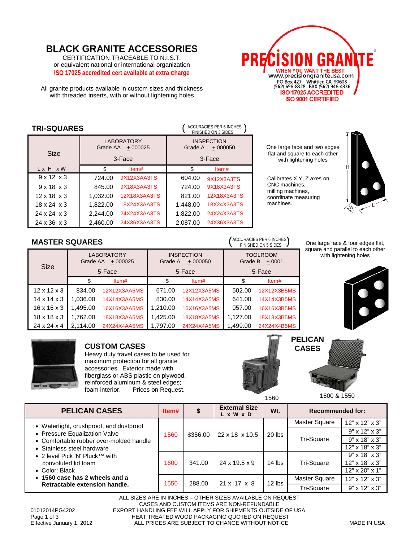# **BLACK GRANITE ACCESSORIES**

CERTIFICATION TRACEABLE TO N.I.S.T. or equivalent national or international organization **ISO 17025 accredited cert available at extra charge**

All granite products available in custom sizes and thickness with threaded inserts, with or without lightening holes



| ACCURACIES PER 6 INCHES )<br><b>TRI-SQUARES</b> |          |                                 |          |                                 |  |  |
|-------------------------------------------------|----------|---------------------------------|----------|---------------------------------|--|--|
|                                                 | Grade AA | <b>LABORATORY</b><br>$+.000025$ | Grade A  | <b>INSPECTION</b><br>$+.000050$ |  |  |
| Size                                            |          | 3-Face                          | 3-Face   |                                 |  |  |
| Lx H xW                                         | \$       | Item#                           | \$       | Item#                           |  |  |
| $9 \times 12 \times 3$                          | 724.00   | 9X12X3AA3TS                     | 604.00   | 9X12X3A3TS                      |  |  |
| $9 \times 18 \times 3$                          | 845.00   | 9X18X3AA3TS                     | 724.00   | 9X18X3A3TS                      |  |  |
| $12 \times 18 \times 3$                         | 1,032.00 | 12X18X3AA3TS                    | 821.00   | 12X18X3A3TS                     |  |  |
| $18 \times 24 \times 3$                         | 1,822.00 | 18X24X3AA3TS                    | 1,448.00 | 18X24X3A3TS                     |  |  |
| $24 \times 24 \times 3$                         | 2.244.00 | 24X24X3AA3TS                    | 1,822.00 | 24X24X3A3TS                     |  |  |
| $24 \times 36 \times 3$                         | 2.460.00 | 24X36X3AA3TS                    | 2.087.00 | 24X36X3A3TS                     |  |  |

#### One large face and two edges flat and square to each other with lightening holes

Calibrates X,Y, Z axes on CNC machines, milling machines, coordinate measuring machines.



# **MASTER SQUARES** ()

| MAYILIN YWUANLY         |          |                                           |          |                                           |                                                  | FINISHED ON 5 SIDES |
|-------------------------|----------|-------------------------------------------|----------|-------------------------------------------|--------------------------------------------------|---------------------|
| <b>Size</b>             | Grade AA | <b>LABORATORY</b><br>$+.000025$<br>5-Face | Grade A  | <b>INSPECTION</b><br>$+.000050$<br>5-Face | <b>TOOLROOM</b><br>Grade B<br>$+.0001$<br>5-Face |                     |
|                         |          | Item#                                     | \$       | Item#                                     | S                                                | Item#               |
| $12 \times 12 \times 3$ | 834.00   | <b>12X12X3AA5MS</b>                       | 671.00   | <b>12X12X3A5MS</b>                        | 502.00                                           | 12X12X3B5MS         |
| $14 \times 14 \times 3$ | 1.036.00 | 14X14X3AA5MS                              | 830.00   | 14X14X3A5MS                               | 641.00                                           | 14X14X3B5MS         |
| $16 \times 16 \times 3$ | 1.495.00 | 16X16X3AA5MS                              | 1,210.00 | 16X16X3A5MS                               | 957.00                                           | 16X16X3B5MS         |
| $18 \times 18 \times 3$ | 1.762.00 | 18X18X3AA5MS                              | 1.425.00 | <b>18X18X3A5MS</b>                        | 1.127.00                                         | 18X18X3B5MS         |
| $24 \times 24 \times 4$ | 2.114.00 | 24X24X4AA5MS                              | 1.797.00 | 24X24X4A5MS                               | 1.499.00                                         | 24X24X4B5MS         |

One large face & four edges flat, square and parallel to each other with lightening holes





#### **CUSTOM CASES**

Heavy duty travel cases to be used for maximum protection for all granite accessories. Exterior made with fiberglass or ABS plastic on plywood, reinforced aluminum & steel edges; foam interior. Prices on Request.



ACCURACIES PER 6 INCHES



1560 1600 & 1550

| <b>PELICAN CASES</b>                        | ltem# |                            | <b>External Size</b><br>$L \times W \times D$ | Wt.      | <b>Recommended for:</b>   |                           |
|---------------------------------------------|-------|----------------------------|-----------------------------------------------|----------|---------------------------|---------------------------|
| • Watertight, crushproof, and dustproof     |       | \$356.00<br>22 x 18 x 10.5 |                                               |          | Master Square             | 12" x 12" x 3"            |
| • Pressure Equalization Valve               | 1560  |                            | 20 lbs                                        |          | $9" \times 12" \times 3"$ |                           |
| • Comfortable rubber over-molded handle     |       |                            |                                               |          | Tri-Square                | $9" \times 18" \times 3"$ |
| • Stainless steel hardware                  |       |                            |                                               |          |                           | $12"$ x $18"$ x $3"$      |
| ● 2 level Pick 'N' Pluck <sup>TM</sup> with |       |                            |                                               |          |                           | $9" \times 18" \times 3"$ |
| convoluted lid foam                         | 1600  | 341.00                     | 24 x 19.5 x 9                                 | $14$ lbs | Tri-Square                | $12"$ x $18"$ x $3"$      |
| $\bullet$ Color: Black                      |       |                            |                                               |          |                           | $12"$ x 20" x 1"          |
| • 1560 case has 2 wheels and a              | 1550  | 288.00                     | 21 x 17 x 8                                   | $12$ lbs | Master Square             | $12"$ x $12"$ x $3"$      |
| Retractable extension handle.               |       |                            |                                               |          | Tri-Square                | $9" \times 12" \times 3"$ |

ALL SIZES ARE IN INCHES – OTHER SIZES AVAILABLE ON REQUEST CASES AND CUSTOM ITEMS ARE NON-REFUNDABLE 01012014PG4202 EXPORT HANDLING FEE WILL APPLY FOR SHIPMENTS OUTSIDE OF USA<br>Page 1 of 3 Page 1 of 3 HEAT TREATED WOOD PACKAGING QUOTED ON REQUEST<br>Effective January 1, 2012 ALL PRICES ARE SUBJECT TO CHANGE WITHOUT NOTICE ALL PRICES ARE SUBJECT TO CHANGE WITHOUT NOTICE MADE IN USA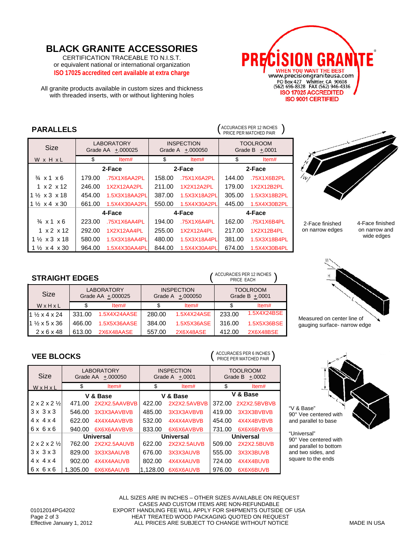# **BLACK GRANITE ACCESSORIES**

CERTIFICATION TRACEABLE TO N.I.S.T. or equivalent national or international organization **ISO 17025 accredited cert available at extra charge**

All granite products available in custom sizes and thickness with threaded inserts, with or without lightening holes



# **PARALLELS**  $\left( \begin{array}{c} \text{ACCURACIES PER 12 INCHES} \\ \text{PRE PER MATCHED PAR} \end{array} \right)$

**STRAIGHT EDGES** ( )

LABORATORY

|                                   |                                        |               |        |                                       |        | PRICE PER MATCHED PAIR              |
|-----------------------------------|----------------------------------------|---------------|--------|---------------------------------------|--------|-------------------------------------|
| <b>Size</b>                       | <b>LABORATORY</b><br>Grade AA +.000025 |               |        | <b>INSPECTION</b><br>Grade A +.000050 |        | <b>TOOLROOM</b><br>Grade B $+.0001$ |
| W x H x L                         | \$                                     | Item#         | \$     | Item#                                 | \$     | Item#                               |
|                                   | 2-Face                                 |               | 2-Face |                                       | 2-Face |                                     |
| $\frac{3}{4}$ x 1 x 6             | 179.00                                 | .75X1X6AA2PL  | 158.00 | .75X1X6A2PL                           | 144.00 | .75X1X6B2PL                         |
| $1 \times 2 \times 12$            | 246.00                                 | 1X2X12AA2PL   | 211.00 | 1X2X12A2PL                            | 179.00 | 1X2X12B2PL                          |
| $1\frac{1}{2}$ x 3 x 18           | 454.00                                 | 1.5X3X18AA2PL | 387.00 | 1.5X3X18A2PL                          | 305.00 | 1.5X3X18B2PL                        |
| $1\frac{1}{2} \times 4 \times 30$ | 661.00                                 | 1.5X4X30AA2PL | 550.00 | 1.5X4X30A2PL                          | 445.00 | 1.5X4X30B2PL                        |
|                                   |                                        | 4-Face        |        | 4-Face                                |        | 4-Face                              |
| $\frac{3}{4}$ x 1 x 6             | 223.00                                 | .75X1X6AA4PL  | 194.00 | .75X1X6A4PL                           | 162.00 | .75X1X6B4PL                         |
| $1 \times 2 \times 12$            | 292.00                                 | 1X2X12AA4PL   | 255.00 | 1X2X12A4PL                            | 217.00 | 1X2X12B4PL                          |
| $1\frac{1}{2}$ x 3 x 18           | 580.00                                 | 1.5X3X18AA4PL | 480.00 | 1.5X3X18A4PL                          | 381.00 | 1.5X3X18B4PL                        |
| $1\frac{1}{2}$ x 4 x 30           | 964.00                                 | 1.5X4X30AA4PL | 844.00 | 1.5X4X30A4PL                          | 674.00 | 1.5X4X30B4PL                        |



2-Face finished on narrow edges 4-Face finished on narrow and wide edges



Measured on center line of gauging surface- narrow edge

90° Vee centered with and parallel to base

"Universal" 90° Vee centered with and parallel to bottom and two sides, and square to the ends

"V & Base"

#### **Size** W x H x L Grade AA +.000025 Grade A  $+000050$ Grade B  $\pm$ .0001 \$ Item# \$ Item# \$ Item# 1 ½ x 4 x 24 331.00 1.5X4X24AASE 280.00 1.5X4X24ASE 233.00 1.5X4X24BSE 1 ½ x 5 x 36 466.00 1.5X5X36AASE 384.00 1.5X5X36ASE 316.00 1.5X5X36BSE 2 x 6 x 48 613.00 2X6X48AASE 557.00 2X6X48ASE 412.00 2X6X48BSE **VEE BLOCKS** c: **LABORATORY** Grade AA  $\pm .000050$ INSPECTION Grade A +.0001 TOOLROOM Grade B + 0002 ACCURACIES PER 6 INCHES PRICE PER MATCHED PAIR

**INSPECTION** 

TOOLROOM

ACCURACIES PER 12 INCHES PRICE EACH

| ◡▵                                  |                  | OI due AA +.000000 | $UUUUH + UUUU$   |              | $U$ oldue D $+0.0002$ |              |
|-------------------------------------|------------------|--------------------|------------------|--------------|-----------------------|--------------|
| WxHxL                               | \$               | Item#              | \$               | Item#        | \$                    | Item#        |
|                                     | V & Base         |                    | V & Base         |              | V & Base              |              |
| $2 \times 2 \times 2$ $\frac{1}{2}$ | 471.00           | 2X2X2.5AAVBVB      | 422.00           | 2X2X2.5AVBVB | 372.00                | 2X2X2.5BVBVB |
| $3 \times 3 \times 3$               | 546.00           | 3X3X3AAVBVB        | 485.00           | 3X3X3AVBVB   | 419.00                | 3X3X3BVBVB   |
| $4 \times 4 \times 4$               | 622.00           | 4X4X4AAVBVB        | 532.00           | 4X4X4AVBVB   | 454.00                | 4X4X4BVBVB   |
| 6x6x6                               | 940.00           | 6X6X6AAVBVB        | 833.00           | 6X6X6AVBVB   | 731.00                | 6X6X6BVBVB   |
|                                     | <b>Universal</b> |                    | <b>Universal</b> |              | <b>Universal</b>      |              |
| $2 \times 2 \times 2 \frac{1}{2}$   | 762.00           | 2X2X2.5AAUVB       | 622.00           | 2X2X2.5AUVB  | 509.00                | 2X2X2.5BUVB  |
| $3 \times 3 \times 3$               | 829.00           | 3X3X3AAUVB         | 676.00           | 3X3X3AUVB    | 555.00                | 3X3X3BUVB    |
| $4 \times 4 \times 4$               | 902.00           | 4X4X4AAUVB         | 802.00           | 4X4X4AUVB    | 724.00                | 4X4X4BUVB    |
| 6x6x6                               | 1.305.00         | 6X6X6AAUVB         | 1.128.00         | 6X6X6AUVB    | 976.00                | 6X6X6BUVB    |

ALL SIZES ARE IN INCHES – OTHER SIZES AVAILABLE ON REQUEST CASES AND CUSTOM ITEMS ARE NON-REFUNDABLE 01012014PG4202 EXPORT HANDLING FEE WILL APPLY FOR SHIPMENTS OUTSIDE OF USA<br>Page 2 of 3 Page 2 of 3 HEAT TREATED WOOD PACKAGING QUOTED ON REQUEST<br>Effective January 1, 2012 ALL PRICES ARE SUBJECT TO CHANGE WITHOUT NOTICE ALL PRICES ARE SUBJECT TO CHANGE WITHOUT NOTICE MADE IN USA